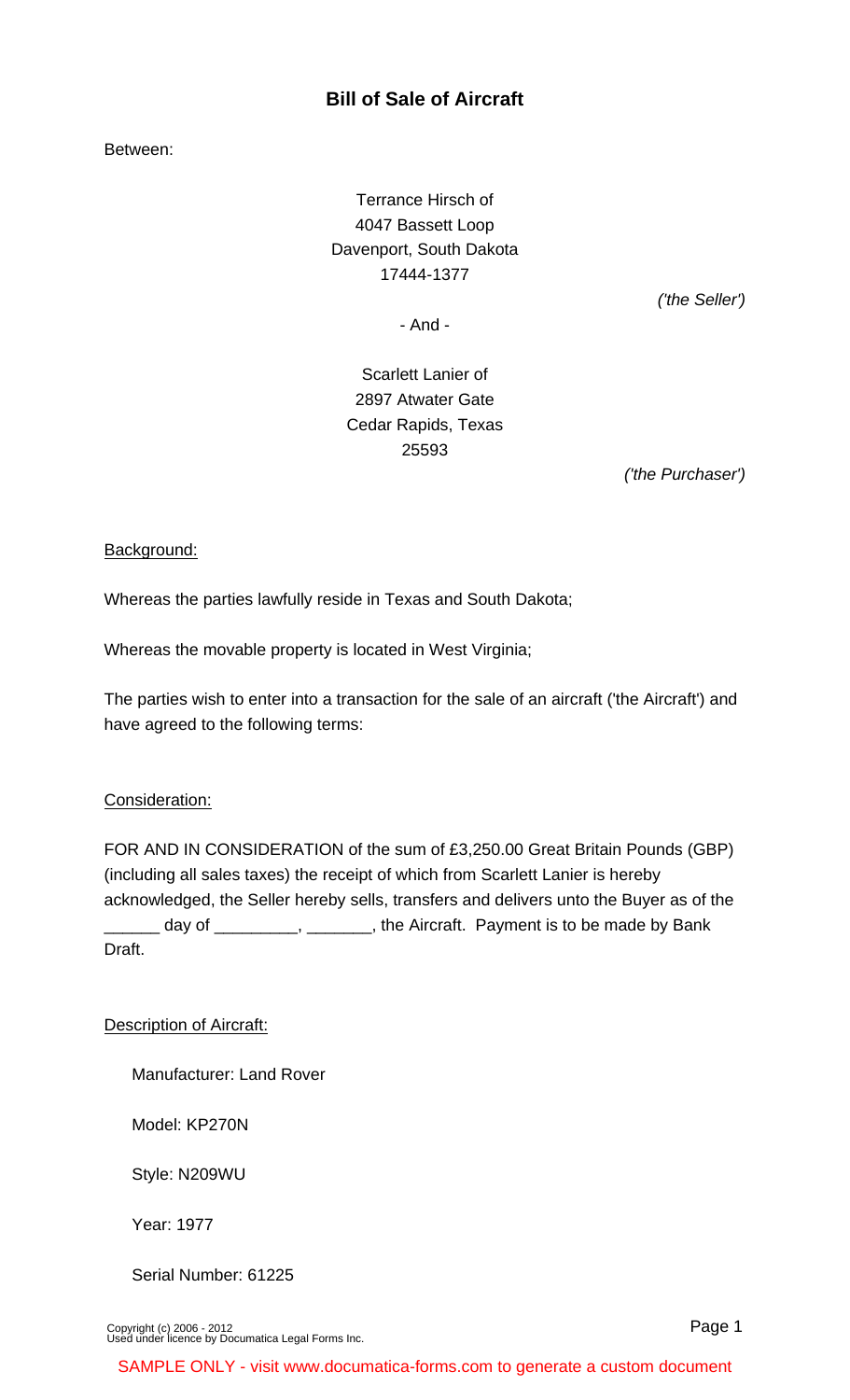# **Bill of Sale of Aircraft**

Between:

Terrance Hirsch of 4047 Bassett Loop Davenport, South Dakota 17444-1377

('the Seller')

- And -

Scarlett Lanier of 2897 Atwater Gate Cedar Rapids, Texas 25593

('the Purchaser')

## Background:

Whereas the parties lawfully reside in Texas and South Dakota;

Whereas the movable property is located in West Virginia;

The parties wish to enter into a transaction for the sale of an aircraft ('the Aircraft') and have agreed to the following terms:

## Consideration:

FOR AND IN CONSIDERATION of the sum of £3,250.00 Great Britain Pounds (GBP) (including all sales taxes) the receipt of which from Scarlett Lanier is hereby acknowledged, the Seller hereby sells, transfers and delivers unto the Buyer as of the day of \_\_\_\_\_\_\_\_\_, \_\_\_\_\_\_\_, the Aircraft. Payment is to be made by Bank Draft.

Description of Aircraft:

Manufacturer: Land Rover

Model: KP270N

Style: N209WU

Year: 1977

Serial Number: 61225

[Copyright \(c\) 2006 - 2012](http://www.documatica-forms.com) [Used under licence by Documatica Legal Forms Inc.](http://www.documatica-forms.com) Page 1

SAMPLE ONLY - visit www.documatica-forms.com to generate a custom document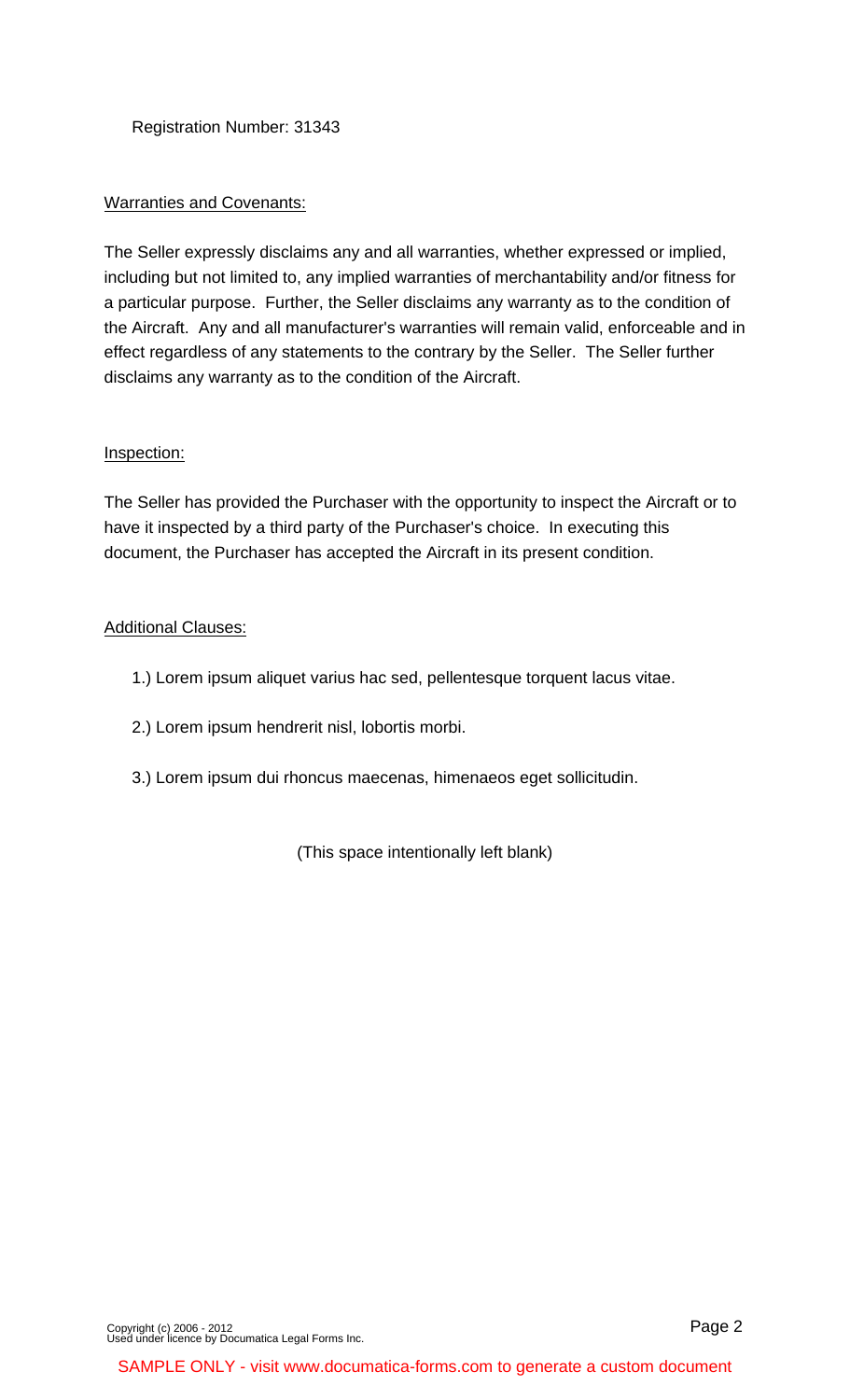Registration Number: 31343

## Warranties and Covenants:

The Seller expressly disclaims any and all warranties, whether expressed or implied, including but not limited to, any implied warranties of merchantability and/or fitness for a particular purpose. Further, the Seller disclaims any warranty as to the condition of the Aircraft. Any and all manufacturer's warranties will remain valid, enforceable and in effect regardless of any statements to the contrary by the Seller. The Seller further disclaims any warranty as to the condition of the Aircraft.

## Inspection:

The Seller has provided the Purchaser with the opportunity to inspect the Aircraft or to have it inspected by a third party of the Purchaser's choice. In executing this document, the Purchaser has accepted the Aircraft in its present condition.

## Additional Clauses:

- 1.) Lorem ipsum aliquet varius hac sed, pellentesque torquent lacus vitae.
- 2.) Lorem ipsum hendrerit nisl, lobortis morbi.
- 3.) Lorem ipsum dui rhoncus maecenas, himenaeos eget sollicitudin.

(This space intentionally left blank)